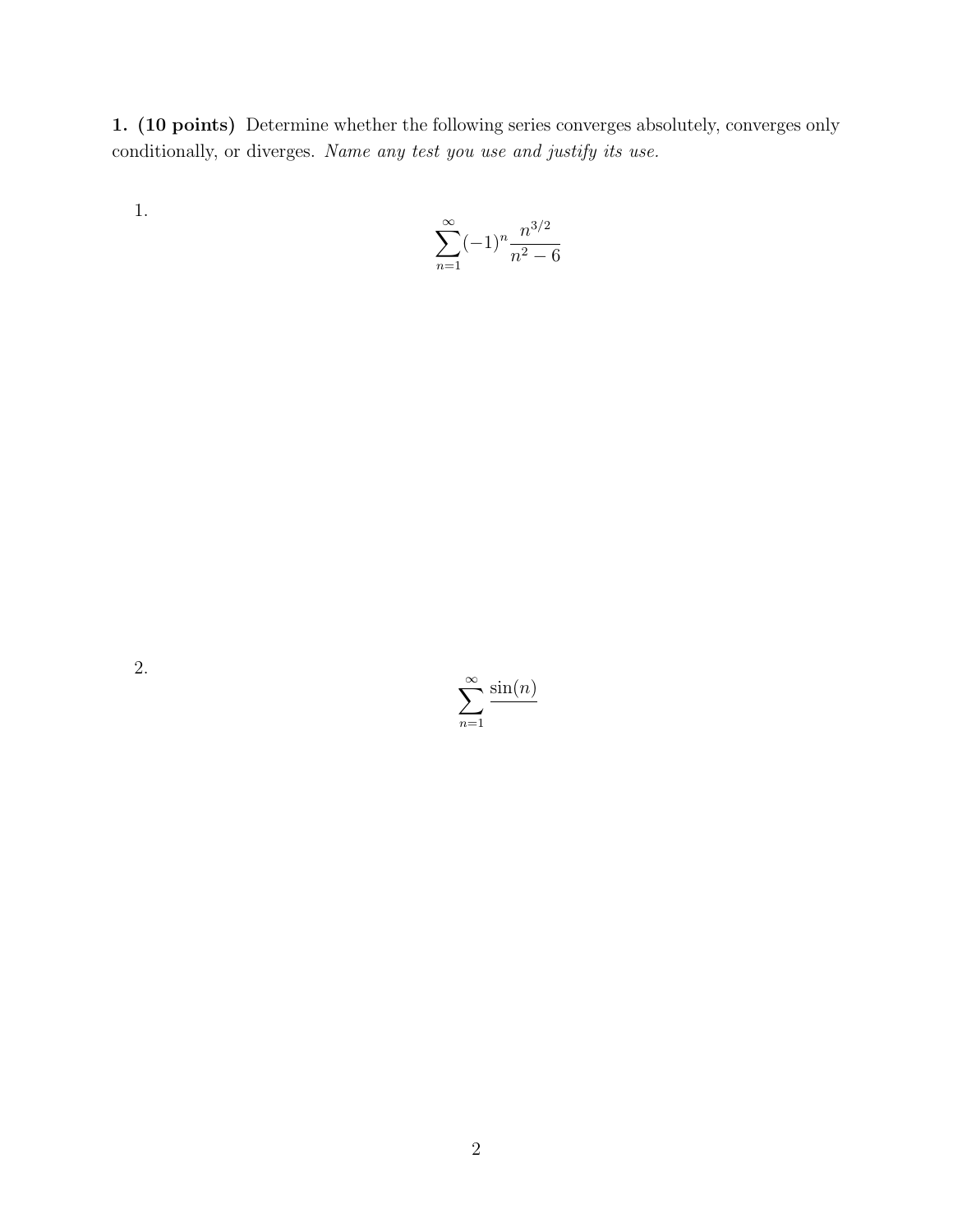1. (10 points) Determine whether the following series converges absolutely, converges only conditionally, or diverges. *Name any test you use and justify its use.*

1.

$$
\sum_{n=1}^{\infty} (-1)^n \frac{n^{3/2}}{n^2 - 6}
$$

2.

 $\sum_{\infty}$ *n*=1  $sin(n)$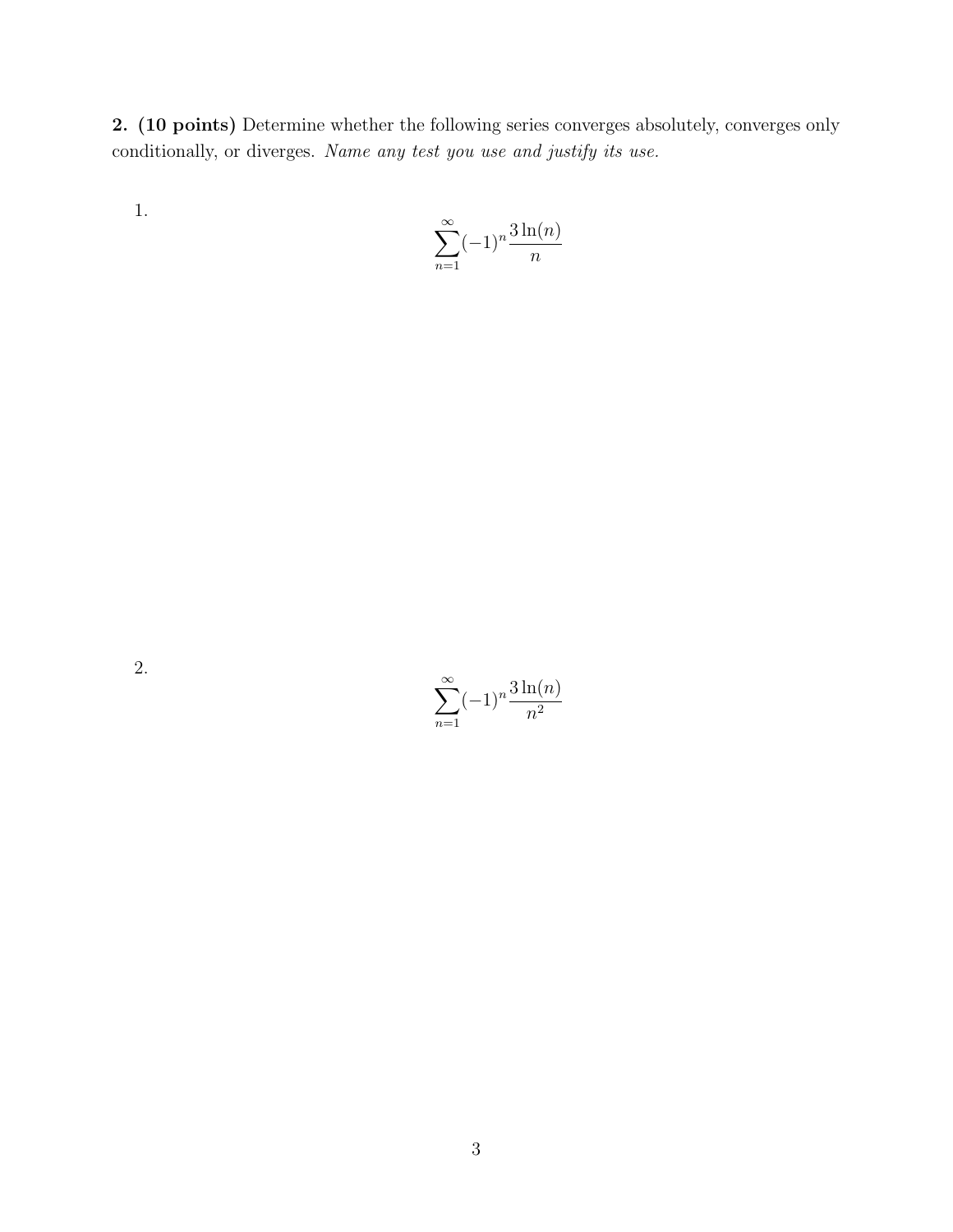2. (10 points) Determine whether the following series converges absolutely, converges only conditionally, or diverges. *Name any test you use and justify its use.*

1.

$$
\sum_{n=1}^{\infty} (-1)^n \frac{3\ln(n)}{n}
$$

2.

 $\sum_{\infty}$ *n*=1  $(-1)^n \frac{3 \ln(n)}{n^2}$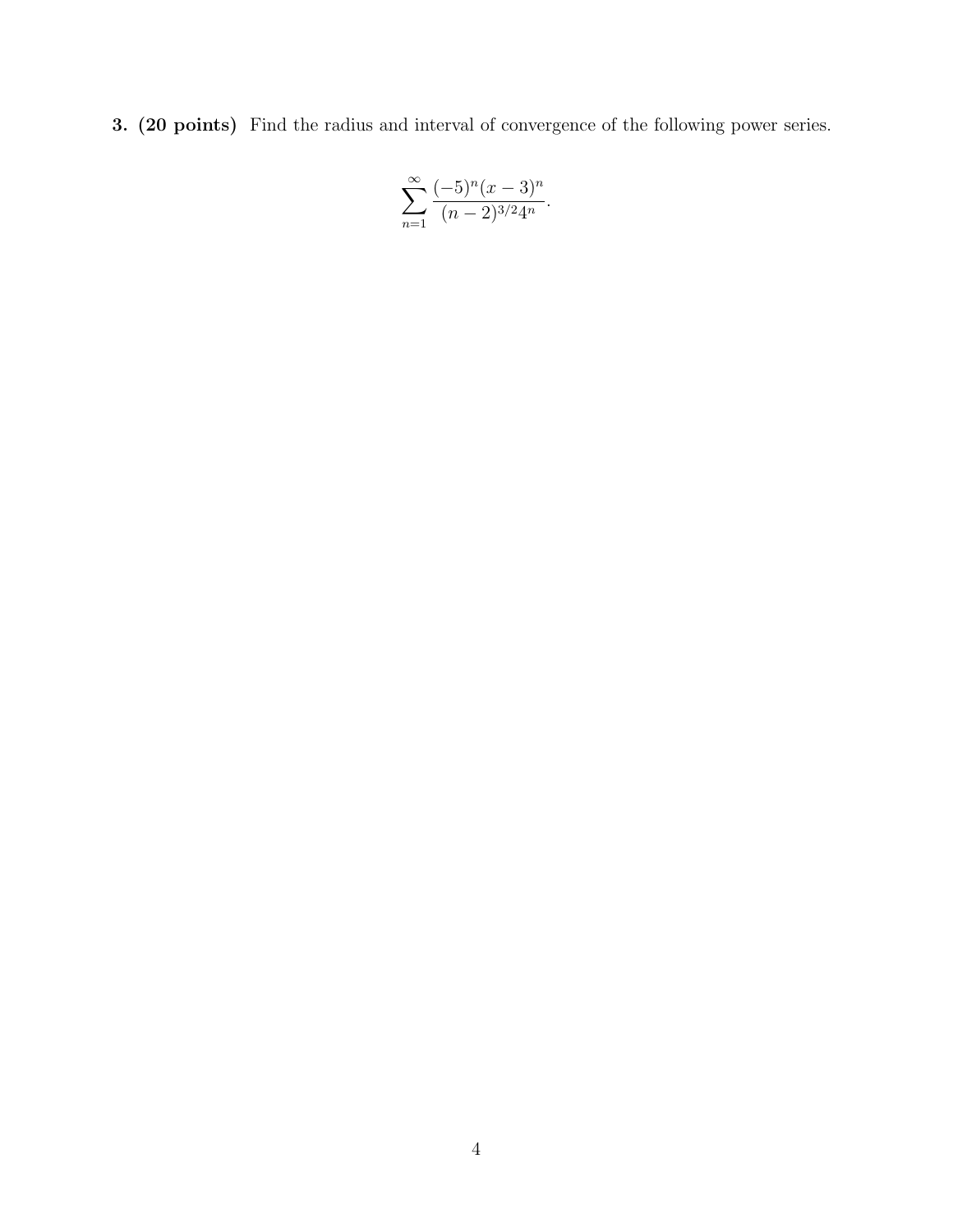3. (20 points) Find the radius and interval of convergence of the following power series.

$$
\sum_{n=1}^{\infty} \frac{(-5)^n (x-3)^n}{(n-2)^{3/2} 4^n}.
$$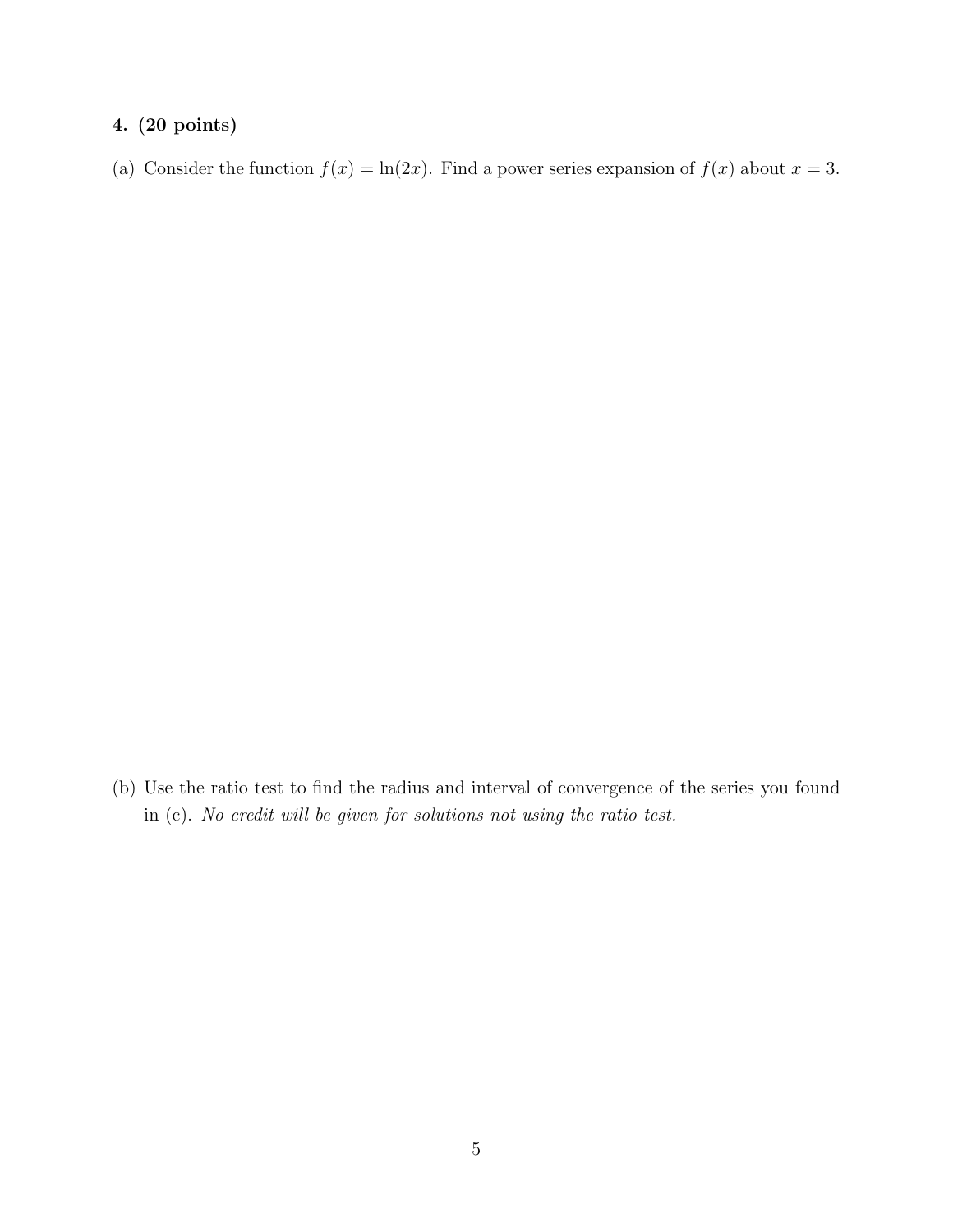## 4. (20 points)

(a) Consider the function  $f(x) = \ln(2x)$ . Find a power series expansion of  $f(x)$  about  $x = 3$ .

(b) Use the ratio test to find the radius and interval of convergence of the series you found in (c). *No credit will be given for solutions not using the ratio test.*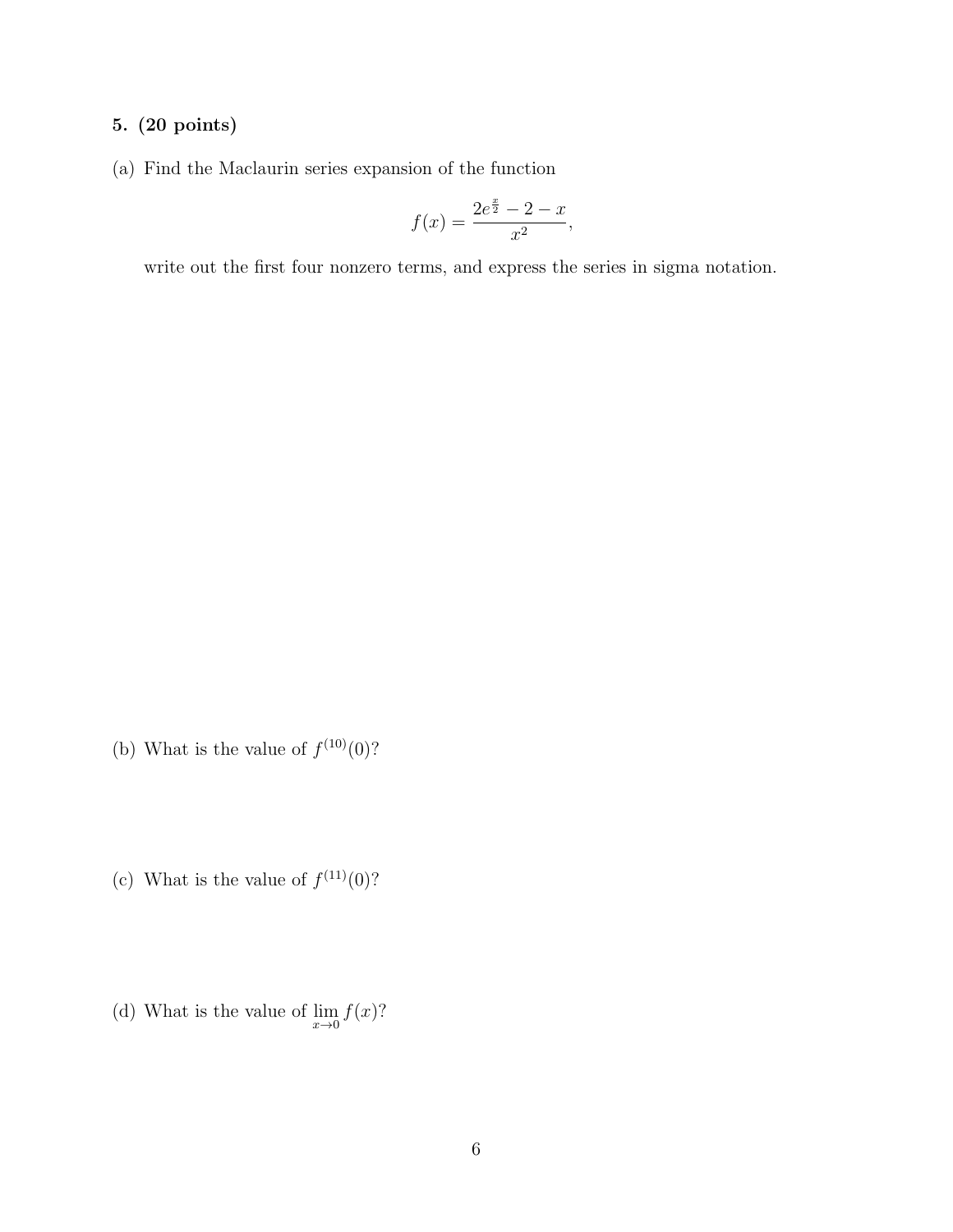## 5. (20 points)

(a) Find the Maclaurin series expansion of the function

$$
f(x) = \frac{2e^{\frac{x}{2}} - 2 - x}{x^2},
$$

write out the first four nonzero terms, and express the series in sigma notation.

- (b) What is the value of  $f^{(10)}(0)$ ?
- (c) What is the value of  $f^{(11)}(0)$ ?
- (d) What is the value of  $\lim_{x\to 0} f(x)$ ?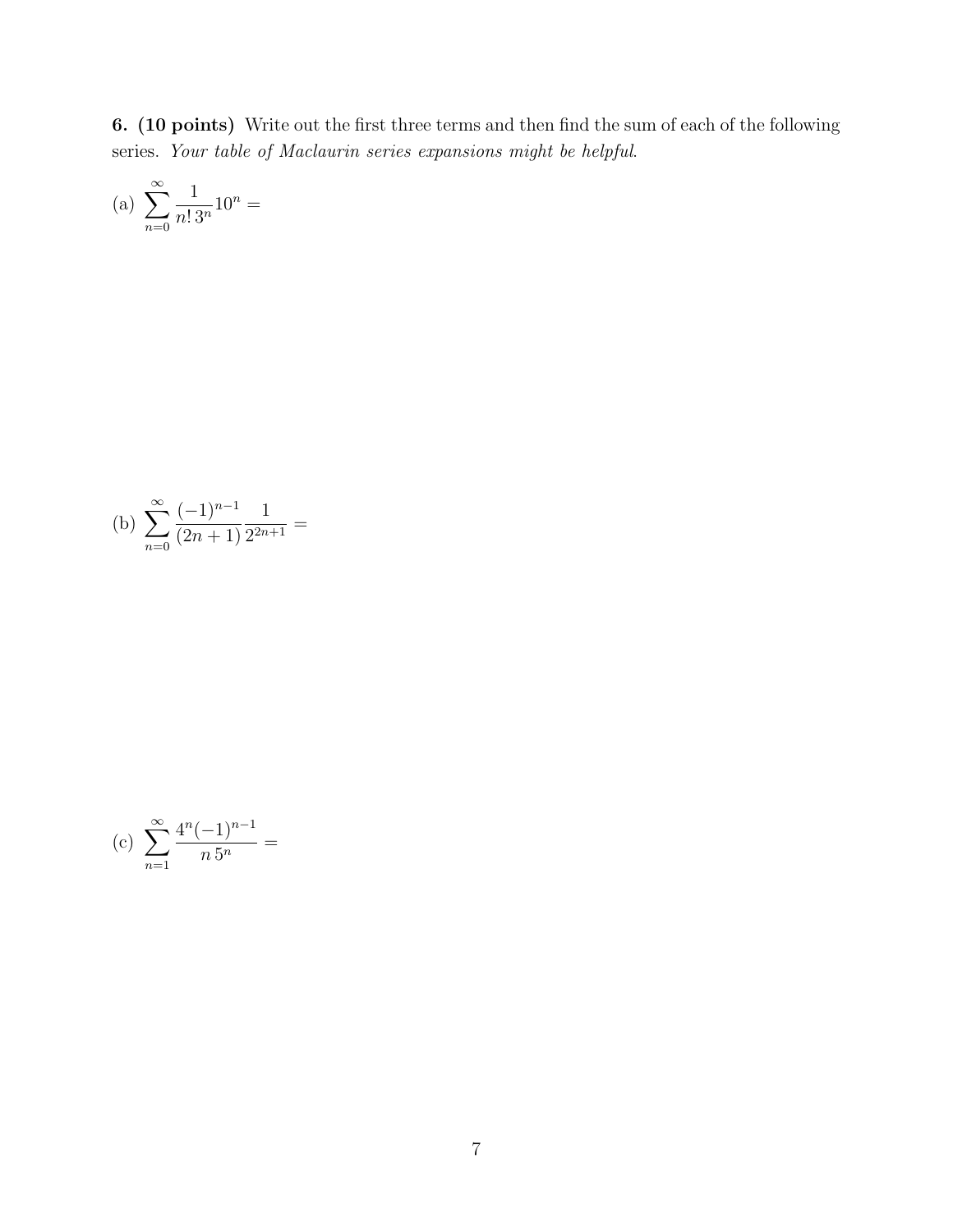6. (10 points) Write out the first three terms and then find the sum of each of the following series. *Your table of Maclaurin series expansions might be helpful*.

(a) 
$$
\sum_{n=0}^{\infty} \frac{1}{n! \, 3^n} 10^n =
$$

(b) 
$$
\sum_{n=0}^{\infty} \frac{(-1)^{n-1}}{(2n+1)} \frac{1}{2^{2n+1}} =
$$

(c) 
$$
\sum_{n=1}^{\infty} \frac{4^n (-1)^{n-1}}{n \, 5^n} =
$$